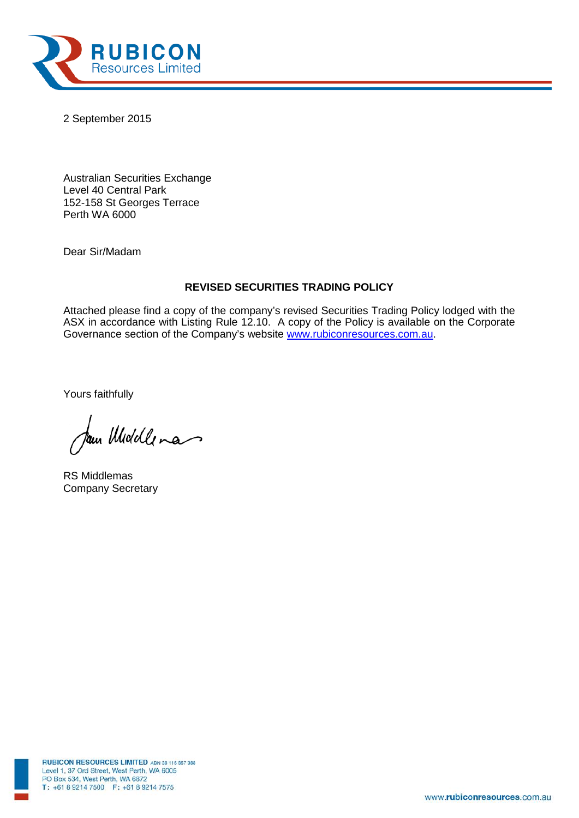

2 September 2015

Australian Securities Exchange Level 40 Central Park 152-158 St Georges Terrace Perth WA 6000

Dear Sir/Madam

# **REVISED SECURITIES TRADING POLICY**

Attached please find a copy of the company's revised Securities Trading Policy lodged with the ASX in accordance with Listing Rule 12.10. A copy of the Policy is available on the Corporate Governance section of the Company's website [www.rubiconresources.com.au.](http://www.rubiconresources.com.au/)

Yours faithfully

fam Middle ma

RS Middlemas Company Secretary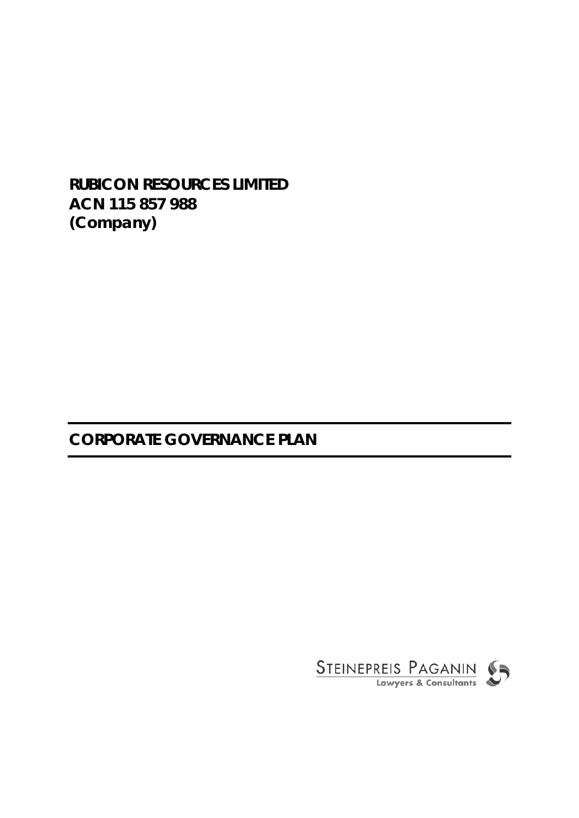# **RUBICON RESOURCES LIMITED ACN 115 857 988 (Company)**

# **CORPORATE GOVERNANCE PLAN**

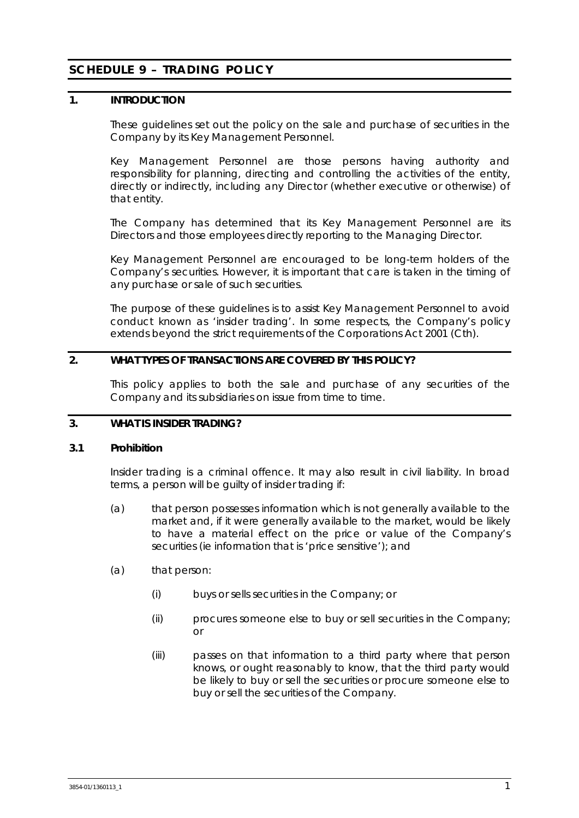# **SCHEDULE 9 – TRADING POLICY**

# **1. INTRODUCTION**

These guidelines set out the policy on the sale and purchase of securities in the Company by its Key Management Personnel.

Key Management Personnel are those persons having authority and responsibility for planning, directing and controlling the activities of the entity, directly or indirectly, including any Director (whether executive or otherwise) of that entity.

The Company has determined that its Key Management Personnel are its Directors and those employees directly reporting to the Managing Director.

Key Management Personnel are encouraged to be long-term holders of the Company's securities. However, it is important that care is taken in the timing of any purchase or sale of such securities.

The purpose of these guidelines is to assist Key Management Personnel to avoid conduct known as 'insider trading'. In some respects, the Company's policy extends beyond the strict requirements of the *Corporations Act 2001* (Cth).

# **2. WHAT TYPES OF TRANSACTIONS ARE COVERED BY THIS POLICY?**

This policy applies to both the sale and purchase of any securities of the Company and its subsidiaries on issue from time to time.

# **3. WHAT IS INSIDER TRADING?**

#### **3.1 Prohibition**

Insider trading is a criminal offence. It may also result in civil liability. In broad terms, a person will be guilty of insider trading if:

- (a) that person possesses information which is not generally available to the market and, if it were generally available to the market, would be likely to have a material effect on the price or value of the Company's securities (ie information that is 'price sensitive'); and
- (a) that person:
	- (i) buys or sells securities in the Company; or
	- (ii) procures someone else to buy or sell securities in the Company; or
	- (iii) passes on that information to a third party where that person knows, or ought reasonably to know, that the third party would be likely to buy or sell the securities or procure someone else to buy or sell the securities of the Company.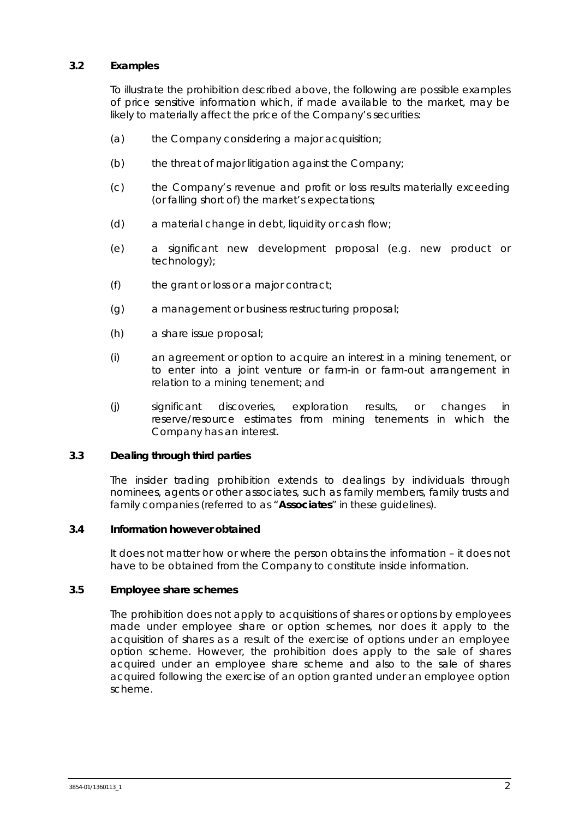# **3.2 Examples**

To illustrate the prohibition described above, the following are possible examples of price sensitive information which, if made available to the market, may be likely to materially affect the price of the Company's securities:

- (a) the Company considering a major acquisition;
- (b) the threat of major litigation against the Company;
- (c) the Company's revenue and profit or loss results materially exceeding (or falling short of) the market's expectations;
- (d) a material change in debt, liquidity or cash flow;
- (e) a significant new development proposal (e.g. new product or technology);
- (f) the grant or loss or a major contract;
- (g) a management or business restructuring proposal;
- (h) a share issue proposal;
- (i) an agreement or option to acquire an interest in a mining tenement, or to enter into a joint venture or farm-in or farm-out arrangement in relation to a mining tenement; and
- (j) significant discoveries, exploration results, or changes in reserve/resource estimates from mining tenements in which the Company has an interest.

#### **3.3 Dealing through third parties**

The insider trading prohibition extends to dealings by individuals through nominees, agents or other associates, such as family members, family trusts and family companies (referred to as "**Associates**" in these guidelines).

# **3.4 Information however obtained**

It does not matter how or where the person obtains the information – it does not have to be obtained from the Company to constitute inside information.

#### **3.5 Employee share schemes**

The prohibition does not apply to acquisitions of shares or options by employees made under employee share or option schemes, nor does it apply to the acquisition of shares as a result of the exercise of options under an employee option scheme. However, the prohibition does apply to the sale of shares acquired under an employee share scheme and also to the sale of shares acquired following the exercise of an option granted under an employee option scheme.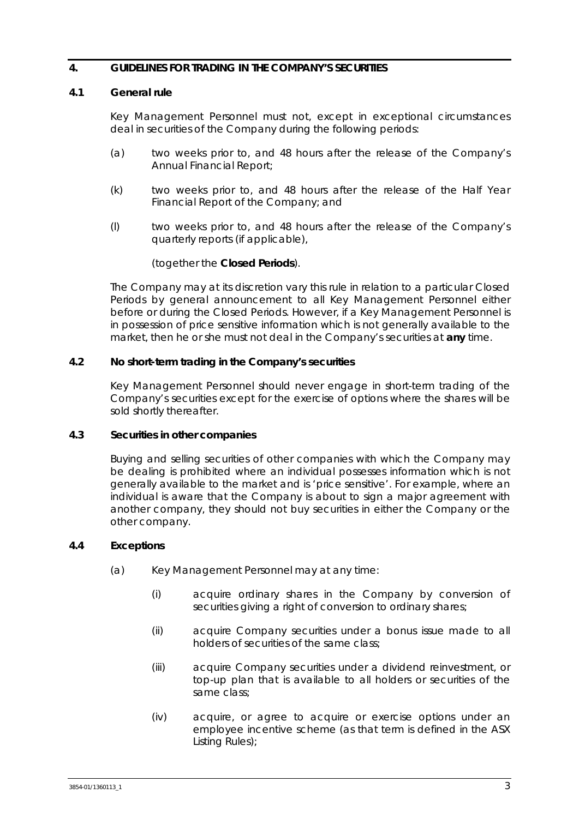# **4. GUIDELINES FOR TRADING IN THE COMPANY'S SECURITIES**

#### <span id="page-4-0"></span>**4.1 General rule**

Key Management Personnel must not, except in exceptional circumstances deal in securities of the Company during the following periods:

- (a) two weeks prior to, and 48 hours after the release of the Company's Annual Financial Report;
- (k) two weeks prior to, and 48 hours after the release of the Half Year Financial Report of the Company; and
- (l) two weeks prior to, and 48 hours after the release of the Company's quarterly reports (if applicable),

## (together the **Closed Periods**).

The Company may at its discretion vary this rule in relation to a particular Closed Periods by general announcement to all Key Management Personnel either before or during the Closed Periods. However, if a Key Management Personnel is in possession of price sensitive information which is not generally available to the market, then he or she must not deal in the Company's securities at **any** time.

## **4.2 No short-term trading in the Company's securities**

Key Management Personnel should never engage in short-term trading of the Company's securities except for the exercise of options where the shares will be sold shortly thereafter.

#### **4.3 Securities in other companies**

Buying and selling securities of other companies with which the Company may be dealing is prohibited where an individual possesses information which is not generally available to the market and is 'price sensitive'. For example, where an individual is aware that the Company is about to sign a major agreement with another company, they should not buy securities in either the Company or the other company.

# **4.4 Exceptions**

- (a) Key Management Personnel may at any time:
	- (i) acquire ordinary shares in the Company by conversion of securities giving a right of conversion to ordinary shares;
	- (ii) acquire Company securities under a bonus issue made to all holders of securities of the same class;
	- (iii) acquire Company securities under a dividend reinvestment, or top-up plan that is available to all holders or securities of the same class;
	- (iv) acquire, or agree to acquire or exercise options under an employee incentive scheme (as that term is defined in the ASX Listing Rules);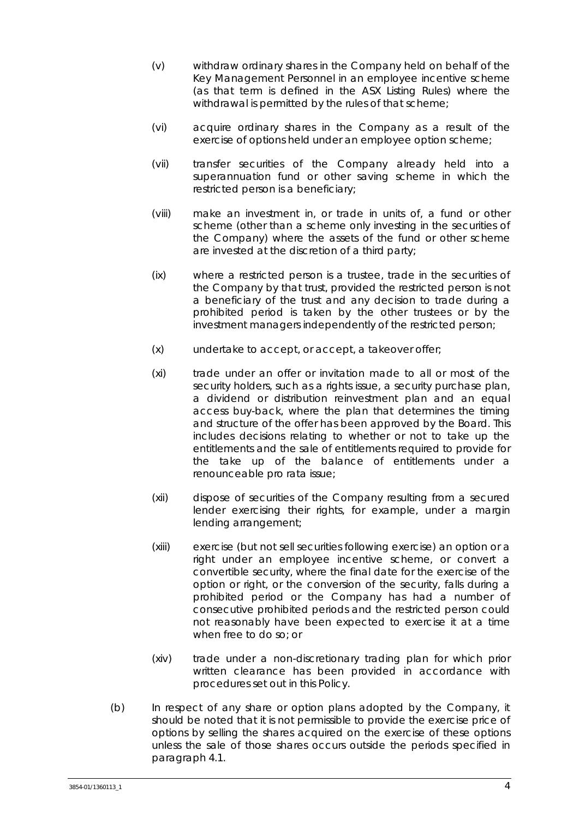- (v) withdraw ordinary shares in the Company held on behalf of the Key Management Personnel in an employee incentive scheme (as that term is defined in the ASX Listing Rules) where the withdrawal is permitted by the rules of that scheme;
- (vi) acquire ordinary shares in the Company as a result of the exercise of options held under an employee option scheme;
- (vii) transfer securities of the Company already held into a superannuation fund or other saving scheme in which the restricted person is a beneficiary;
- (viii) make an investment in, or trade in units of, a fund or other scheme (other than a scheme only investing in the securities of the Company) where the assets of the fund or other scheme are invested at the discretion of a third party;
- (ix) where a restricted person is a trustee, trade in the securities of the Company by that trust, provided the restricted person is not a beneficiary of the trust and any decision to trade during a prohibited period is taken by the other trustees or by the investment managers independently of the restricted person;
- (x) undertake to accept, or accept, a takeover offer;
- (xi) trade under an offer or invitation made to all or most of the security holders, such as a rights issue, a security purchase plan, a dividend or distribution reinvestment plan and an equal access buy-back, where the plan that determines the timing and structure of the offer has been approved by the Board. This includes decisions relating to whether or not to take up the entitlements and the sale of entitlements required to provide for the take up of the balance of entitlements under a renounceable pro rata issue;
- (xii) dispose of securities of the Company resulting from a secured lender exercising their rights, for example, under a margin lending arrangement;
- (xiii) exercise (but not sell securities following exercise) an option or a right under an employee incentive scheme, or convert a convertible security, where the final date for the exercise of the option or right, or the conversion of the security, falls during a prohibited period or the Company has had a number of consecutive prohibited periods and the restricted person could not reasonably have been expected to exercise it at a time when free to do so; or
- (xiv) trade under a non-discretionary trading plan for which prior written clearance has been provided in accordance with procedures set out in this Policy.
- (b) In respect of any share or option plans adopted by the Company, it should be noted that it is not permissible to provide the exercise price of options by selling the shares acquired on the exercise of these options unless the sale of those shares occurs outside the periods specified in paragraph [4.1.](#page-4-0)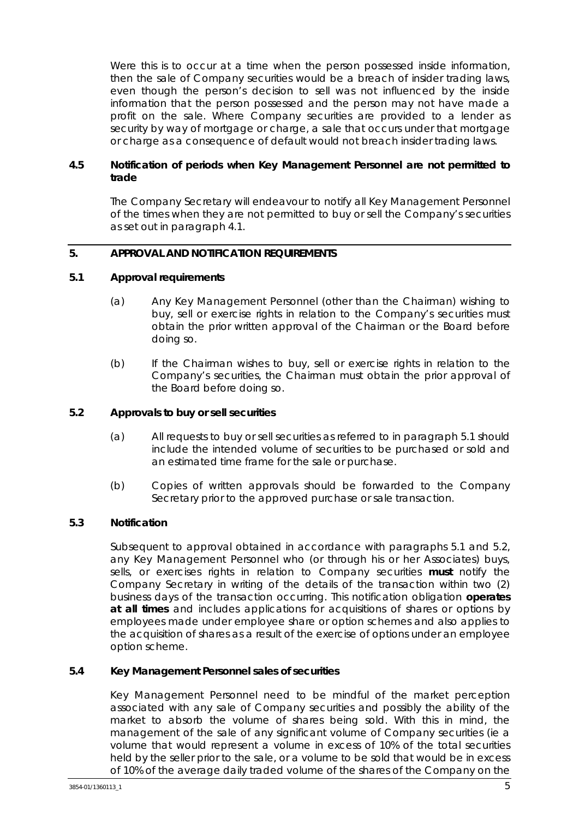Were this is to occur at a time when the person possessed inside information, then the sale of Company securities would be a breach of insider trading laws, even though the person's decision to sell was not influenced by the inside information that the person possessed and the person may not have made a profit on the sale. Where Company securities are provided to a lender as security by way of mortgage or charge, a sale that occurs under that mortgage or charge as a consequence of default would not breach insider trading laws.

# **4.5 Notification of periods when Key Management Personnel are not permitted to trade**

The Company Secretary will endeavour to notify all Key Management Personnel of the times when they are not permitted to buy or sell the Company's securities as set out in paragraph [4.1.](#page-4-0)

# **5. APPROVAL AND NOTIFICATION REQUIREMENTS**

## <span id="page-6-0"></span>**5.1 Approval requirements**

- (a) Any Key Management Personnel (other than the Chairman) wishing to buy, sell or exercise rights in relation to the Company's securities must obtain the prior written approval of the Chairman or the Board before doing so.
- (b) If the Chairman wishes to buy, sell or exercise rights in relation to the Company's securities, the Chairman must obtain the prior approval of the Board before doing so.

# <span id="page-6-1"></span>**5.2 Approvals to buy or sell securities**

- (a) All requests to buy or sell securities as referred to in paragraph [5.1](#page-6-0) should include the intended volume of securities to be purchased or sold and an estimated time frame for the sale or purchase.
- (b) Copies of written approvals should be forwarded to the Company Secretary prior to the approved purchase or sale transaction.

#### **5.3 Notification**

Subsequent to approval obtained in accordance with paragraphs [5.1](#page-6-0) and [5.2,](#page-6-1) any Key Management Personnel who (or through his or her Associates) buys, sells, or exercises rights in relation to Company securities **must** notify the Company Secretary in writing of the details of the transaction within two (2) business days of the transaction occurring. This notification obligation **operates at all times** and includes applications for acquisitions of shares or options by employees made under employee share or option schemes and also applies to the acquisition of shares as a result of the exercise of options under an employee option scheme.

#### **5.4 Key Management Personnel sales of securities**

Key Management Personnel need to be mindful of the market perception associated with any sale of Company securities and possibly the ability of the market to absorb the volume of shares being sold. With this in mind, the management of the sale of any significant volume of Company securities (ie a volume that would represent a volume in excess of 10% of the total securities held by the seller prior to the sale, or a volume to be sold that would be in excess of 10% of the average daily traded volume of the shares of the Company on the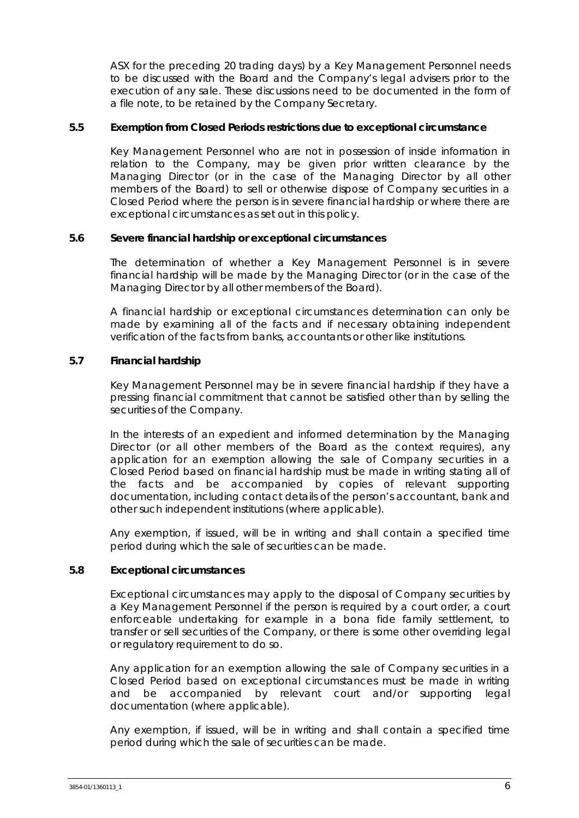ASX for the preceding 20 trading days) by a Key Management Personnel needs to be discussed with the Board and the Company's legal advisers prior to the execution of any sale. These discussions need to be documented in the form of a file note, to be retained by the Company Secretary.

# **5.5 Exemption from Closed Periods restrictions due to exceptional circumstance**

Key Management Personnel who are not in possession of inside information in relation to the Company, may be given prior written clearance by the Managing Director (or in the case of the Managing Director by all other members of the Board) to sell or otherwise dispose of Company securities in a Closed Period where the person is in severe financial hardship or where there are exceptional circumstances as set out in this policy.

## **5.6 Severe financial hardship or exceptional circumstances**

The determination of whether a Key Management Personnel is in severe financial hardship will be made by the Managing Director (or in the case of the Managing Director by all other members of the Board).

A financial hardship or exceptional circumstances determination can only be made by examining all of the facts and if necessary obtaining independent verification of the facts from banks, accountants or other like institutions.

## **5.7 Financial hardship**

Key Management Personnel may be in severe financial hardship if they have a pressing financial commitment that cannot be satisfied other than by selling the securities of the Company.

In the interests of an expedient and informed determination by the Managing Director (or all other members of the Board as the context requires), any application for an exemption allowing the sale of Company securities in a Closed Period based on financial hardship must be made in writing stating all of the facts and be accompanied by copies of relevant supporting documentation, including contact details of the person's accountant, bank and other such independent institutions (where applicable).

Any exemption, if issued, will be in writing and shall contain a specified time period during which the sale of securities can be made.

# **5.8 Exceptional circumstances**

Exceptional circumstances may apply to the disposal of Company securities by a Key Management Personnel if the person is required by a court order, a court enforceable undertaking for example in a bona fide family settlement, to transfer or sell securities of the Company, or there is some other overriding legal or regulatory requirement to do so.

Any application for an exemption allowing the sale of Company securities in a Closed Period based on exceptional circumstances must be made in writing and be accompanied by relevant court and/or supporting legal documentation (where applicable).

Any exemption, if issued, will be in writing and shall contain a specified time period during which the sale of securities can be made.